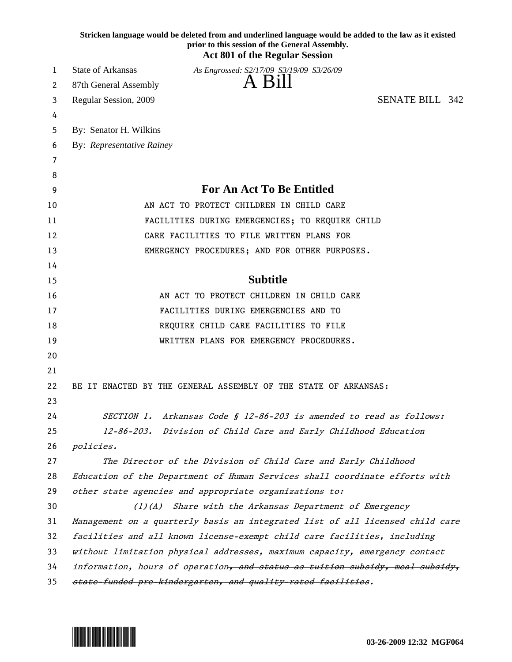|    | Stricken language would be deleted from and underlined language would be added to the law as it existed<br>prior to this session of the General Assembly.<br><b>Act 801 of the Regular Session</b> |
|----|----------------------------------------------------------------------------------------------------------------------------------------------------------------------------------------------------|
| 1  | <b>State of Arkansas</b><br>As Engrossed: S2/17/09 S3/19/09 S3/26/09                                                                                                                               |
| 2  | A Bill<br>87th General Assembly                                                                                                                                                                    |
| 3  | <b>SENATE BILL 342</b><br>Regular Session, 2009                                                                                                                                                    |
| 4  |                                                                                                                                                                                                    |
| 5  | By: Senator H. Wilkins                                                                                                                                                                             |
| 6  | By: Representative Rainey                                                                                                                                                                          |
| 7  |                                                                                                                                                                                                    |
| 8  |                                                                                                                                                                                                    |
| 9  | For An Act To Be Entitled                                                                                                                                                                          |
| 10 | AN ACT TO PROTECT CHILDREN IN CHILD CARE                                                                                                                                                           |
| 11 | FACILITIES DURING EMERGENCIES; TO REQUIRE CHILD                                                                                                                                                    |
| 12 | CARE FACILITIES TO FILE WRITTEN PLANS FOR                                                                                                                                                          |
| 13 | EMERGENCY PROCEDURES; AND FOR OTHER PURPOSES.                                                                                                                                                      |
| 14 |                                                                                                                                                                                                    |
| 15 | <b>Subtitle</b>                                                                                                                                                                                    |
| 16 | AN ACT TO PROTECT CHILDREN IN CHILD CARE                                                                                                                                                           |
| 17 | FACILITIES DURING EMERGENCIES AND TO                                                                                                                                                               |
| 18 | REQUIRE CHILD CARE FACILITIES TO FILE                                                                                                                                                              |
| 19 | WRITTEN PLANS FOR EMERGENCY PROCEDURES.                                                                                                                                                            |
| 20 |                                                                                                                                                                                                    |
| 21 |                                                                                                                                                                                                    |
| 22 | BE IT ENACTED BY THE GENERAL ASSEMBLY OF THE STATE OF ARKANSAS:                                                                                                                                    |
| 23 |                                                                                                                                                                                                    |
| 24 | SECTION 1. Arkansas Code § 12-86-203 is amended to read as follows:                                                                                                                                |
| 25 | 12-86-203. Division of Child Care and Early Childhood Education                                                                                                                                    |
| 26 | policies.                                                                                                                                                                                          |
| 27 | The Director of the Division of Child Care and Early Childhood                                                                                                                                     |
| 28 | Education of the Department of Human Services shall coordinate efforts with                                                                                                                        |
| 29 | other state agencies and appropriate organizations to:                                                                                                                                             |
| 30 | (1)(A) Share with the Arkansas Department of Emergency                                                                                                                                             |
| 31 | Management on a quarterly basis an integrated list of all licensed child care                                                                                                                      |
| 32 | facilities and all known license-exempt child care facilities, including                                                                                                                           |
| 33 | without limitation physical addresses, maximum capacity, emergency contact                                                                                                                         |
| 34 | information, hours of operation, and status as tuition subsidy, meal subsidy,                                                                                                                      |
| 35 | state-funded pre-kindergarten, and quality-rated facilities.                                                                                                                                       |

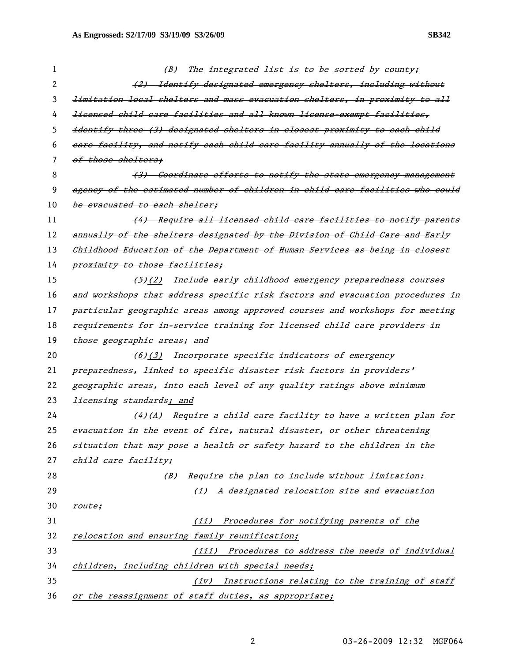| 1  | The integrated list is to be sorted by county;<br>(B)                          |
|----|--------------------------------------------------------------------------------|
| 2  | (2) Identify designated emergency shelters, including without                  |
| 3  | limitation local shelters and mass evacuation shelters, in proximity to all    |
| 4  | <i>licensed child care facilities and all known license-exempt facilities,</i> |
| 5  | identify three (3) designated shelters in closest proximity to each child      |
| 6  | eare facility, and notify each child care facility annually of the locations   |
| 7  | of those shelters;                                                             |
| 8  | (3) Coordinate efforts to notify the state emergency management                |
| 9  | agency of the estimated number of children in child care facilities who could  |
| 10 | be evacuated to each shelter;                                                  |
| 11 | (4) Require all licensed child care facilities to notify parents               |
| 12 | annually of the shelters designated by the Division of Child Care and Early    |
| 13 | Childhood Education of the Department of Human Services as being in closest    |
| 14 | proximity to those facilities;                                                 |
| 15 | (5)(2) Include early childhood emergency preparedness courses                  |
| 16 | and workshops that address specific risk factors and evacuation procedures in  |
| 17 | particular geographic areas among approved courses and workshops for meeting   |
| 18 | requirements for in-service training for licensed child care providers in      |
| 19 | those geographic areas; and                                                    |
| 20 | (6)(3) Incorporate specific indicators of emergency                            |
| 21 | preparedness, linked to specific disaster risk factors in providers'           |
| 22 | geographic areas, into each level of any quality ratings above minimum         |
| 23 | <i>licensing standards; and</i>                                                |
| 24 | $(4)$ (A) Require a child care facility to have a written plan for             |
| 25 | evacuation in the event of fire, natural disaster, or other threatening        |
| 26 | situation that may pose a health or safety hazard to the children in the       |
| 27 | child care facility;                                                           |
| 28 | Require the plan to include without limitation:<br>(B)                         |
| 29 | A designated relocation site and evacuation<br>(i)                             |
| 30 | route;                                                                         |
| 31 | Procedures for notifying parents of the<br>(iii)                               |
| 32 | relocation and ensuring family reunification;                                  |
| 33 | (iii) Procedures to address the needs of individual                            |
| 34 | children, including children with special needs;                               |
| 35 | Instructions relating to the training of staff<br>(iv)                         |
| 36 | or the reassignment of staff duties, as appropriate;                           |